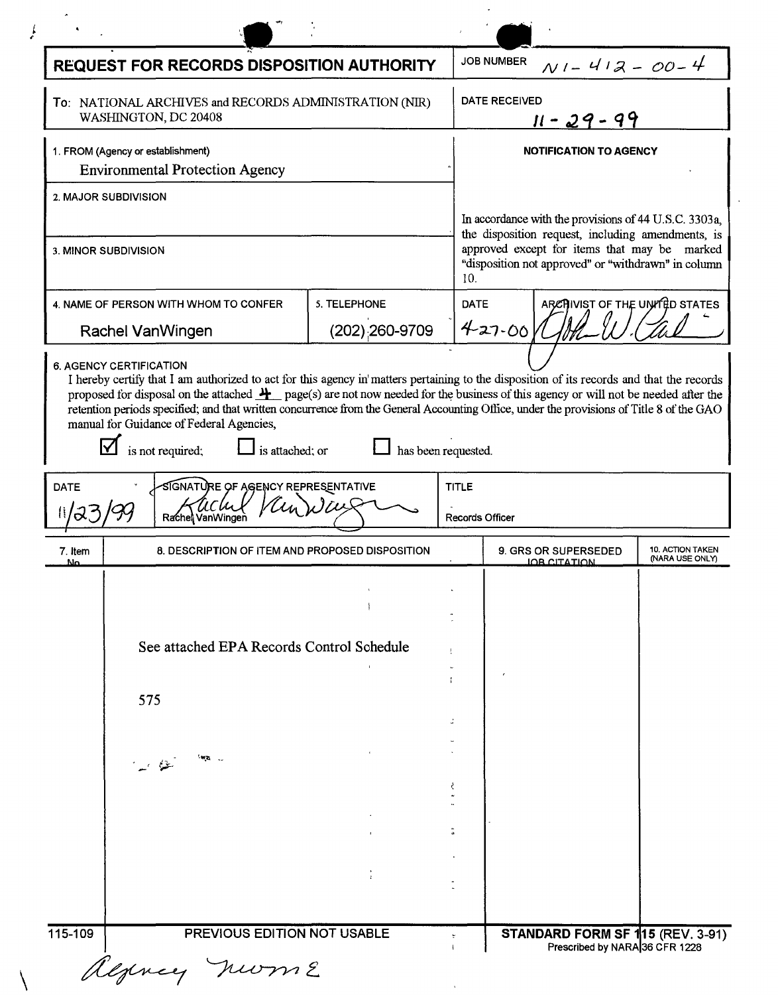|                                                                                | <b>REQUEST FOR RECORDS DISPOSITION AUTHORITY</b>                                                                                                                                                                                                                                                                                                                                                                                                                                                                                                      |                                |             | <b>JOB NUMBER</b><br>$N1 - 412 - 00 - 4$                                                                                                                                                                                 |                                            |  |
|--------------------------------------------------------------------------------|-------------------------------------------------------------------------------------------------------------------------------------------------------------------------------------------------------------------------------------------------------------------------------------------------------------------------------------------------------------------------------------------------------------------------------------------------------------------------------------------------------------------------------------------------------|--------------------------------|-------------|--------------------------------------------------------------------------------------------------------------------------------------------------------------------------------------------------------------------------|--------------------------------------------|--|
| To: NATIONAL ARCHIVES and RECORDS ADMINISTRATION (NIR)<br>WASHINGTON, DC 20408 |                                                                                                                                                                                                                                                                                                                                                                                                                                                                                                                                                       |                                |             | <b>DATE RECEIVED</b><br><u>11 - 29 - 99</u>                                                                                                                                                                              |                                            |  |
|                                                                                | 1. FROM (Agency or establishment)<br><b>Environmental Protection Agency</b>                                                                                                                                                                                                                                                                                                                                                                                                                                                                           |                                |             | <b>NOTIFICATION TO AGENCY</b>                                                                                                                                                                                            |                                            |  |
|                                                                                | 2. MAJOR SUBDIVISION                                                                                                                                                                                                                                                                                                                                                                                                                                                                                                                                  |                                |             |                                                                                                                                                                                                                          |                                            |  |
| 3. MINOR SUBDIVISION                                                           |                                                                                                                                                                                                                                                                                                                                                                                                                                                                                                                                                       |                                |             | In accordance with the provisions of 44 U.S.C. 3303a,<br>the disposition request, including amendments, is<br>approved except for items that may be marked<br>"disposition not approved" or "withdrawn" in column<br>10. |                                            |  |
|                                                                                | 4. NAME OF PERSON WITH WHOM TO CONFER<br>Rachel VanWingen                                                                                                                                                                                                                                                                                                                                                                                                                                                                                             | 5. TELEPHONE<br>(202);260-9709 | <b>DATE</b> | ARCHIVIST OF THE UNITED STATES<br>$427 - 00$                                                                                                                                                                             |                                            |  |
|                                                                                | 6. AGENCY CERTIFICATION<br>I hereby certify that I am authorized to act for this agency in matters pertaining to the disposition of its records and that the records<br>proposed for disposal on the attached $\frac{H}{I}$ page(s) are not now needed for the business of this agency or will not be needed after the<br>retention periods specified; and that written concurrence from the General Accounting Office, under the provisions of Title 8 of the GAO<br>manual for Guidance of Federal Agencies,<br>is not required;<br>is attached: or | has been requested.            |             |                                                                                                                                                                                                                          |                                            |  |
| <b>DATE</b><br><u>J</u>                                                        | SIGNATURE OF AGENCY REPRESENTATIVE<br>Rachel VanWinger                                                                                                                                                                                                                                                                                                                                                                                                                                                                                                |                                |             | <b>TITLE</b><br><b>Records Officer</b>                                                                                                                                                                                   |                                            |  |
| 7. Item<br>N۵                                                                  | 8. DESCRIPTION OF ITEM AND PROPOSED DISPOSITION                                                                                                                                                                                                                                                                                                                                                                                                                                                                                                       |                                |             | <b>9. GRS OR SUPERSEDED</b><br><u>IOB CITATION</u>                                                                                                                                                                       | <b>10. ACTION TAKEN</b><br>(NARA USE ONLY) |  |
|                                                                                |                                                                                                                                                                                                                                                                                                                                                                                                                                                                                                                                                       |                                |             |                                                                                                                                                                                                                          |                                            |  |
|                                                                                | See attached EPA Records Control Schedule                                                                                                                                                                                                                                                                                                                                                                                                                                                                                                             |                                |             |                                                                                                                                                                                                                          |                                            |  |
|                                                                                | 575                                                                                                                                                                                                                                                                                                                                                                                                                                                                                                                                                   |                                |             |                                                                                                                                                                                                                          |                                            |  |
|                                                                                | ં જેવાં                                                                                                                                                                                                                                                                                                                                                                                                                                                                                                                                               |                                |             |                                                                                                                                                                                                                          |                                            |  |
|                                                                                |                                                                                                                                                                                                                                                                                                                                                                                                                                                                                                                                                       |                                |             |                                                                                                                                                                                                                          |                                            |  |
|                                                                                |                                                                                                                                                                                                                                                                                                                                                                                                                                                                                                                                                       |                                |             |                                                                                                                                                                                                                          |                                            |  |
| 115-109                                                                        | PREVIOUS EDITION NOT USABLE                                                                                                                                                                                                                                                                                                                                                                                                                                                                                                                           |                                |             |                                                                                                                                                                                                                          |                                            |  |
|                                                                                |                                                                                                                                                                                                                                                                                                                                                                                                                                                                                                                                                       |                                |             | STANDARD FORM SF 115 (REV. 3-91)                                                                                                                                                                                         | Prescribed by NARA 36 CFR 1228             |  |
|                                                                                | alginey nurm 2                                                                                                                                                                                                                                                                                                                                                                                                                                                                                                                                        |                                |             |                                                                                                                                                                                                                          |                                            |  |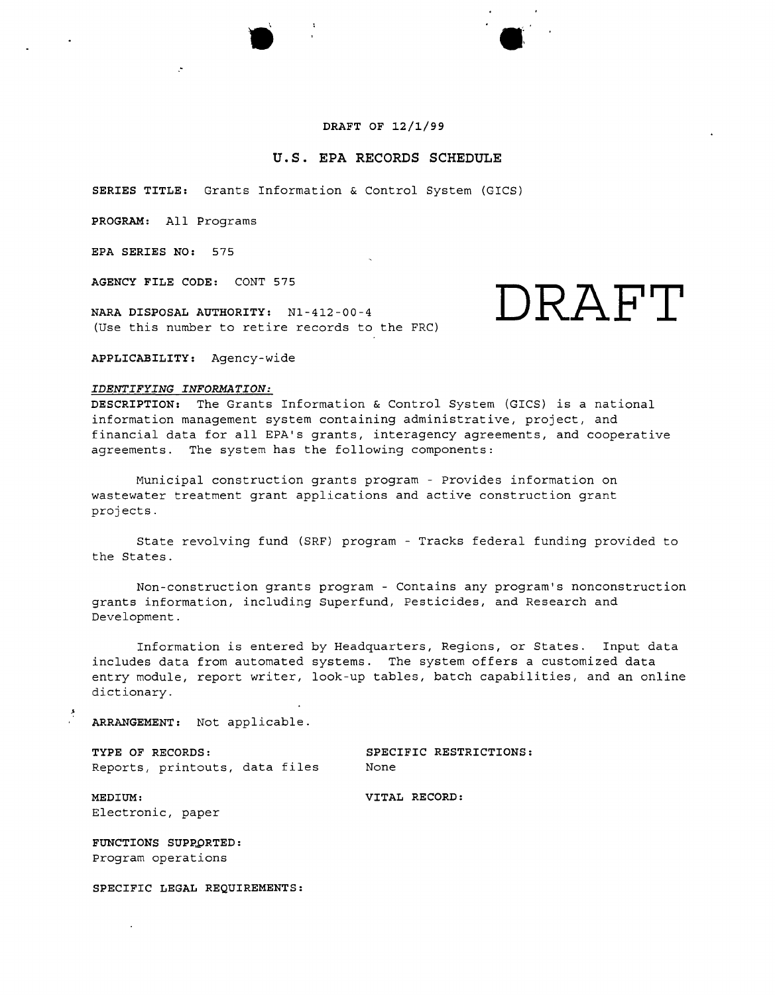# **DRAFT OF 12/1/99**

# **u.s. EPA RECORDS SCHEDULE**

**SERIES TITLE:** Grants Information & Control System (GICS)

**PROGRAM:** All Programs

**EPA SERIES NO:** 575

**AGENCY FILE CODE:** CONT 575

**NARA DISPOSAL AUTHORITY:** Nl-412-00-4 (Use this number to retire records to the FRC) **DRAFT**

**APPLICABILITY:** Agency-wide

### *IDENTIFYING INFORMATION:*

**DESCRIPTION:** The Grants Information & Control System (GICS) is a national information management system containing administrative, project, and financial data for all EPA's grants, interagency agreements, and cooperative agreements. The system has the following components:

Municipal construction grants program - Provides information on wastewater treatment grant applications and active construction grant projects.

State revolving fund (SRF) program - Tracks federal funding provided to the States.

Non-construction grants program - Contains any program's nonconstruction grants information, including Superfund, Pesticides, and Research and Development.

Information is entered by Headquarters, Regions, or States. Input data includes data from automated systems. The system offers a customized data entry module, report writer, look-up tables, batch capabilities, and an online dictionary.

**ARRANGEMENT:** Not applicable.

**TYPE OF RECORDS: SPECIFIC RESTRICTIONS:** Reports, printouts, data files Mone

**MEDIUM: VITAL RECORD:** Electronic, paper

**FUNCTIONS SUPPORTED:** Program operations

**SPECIFIC LEGAL REQUIREMENTS:**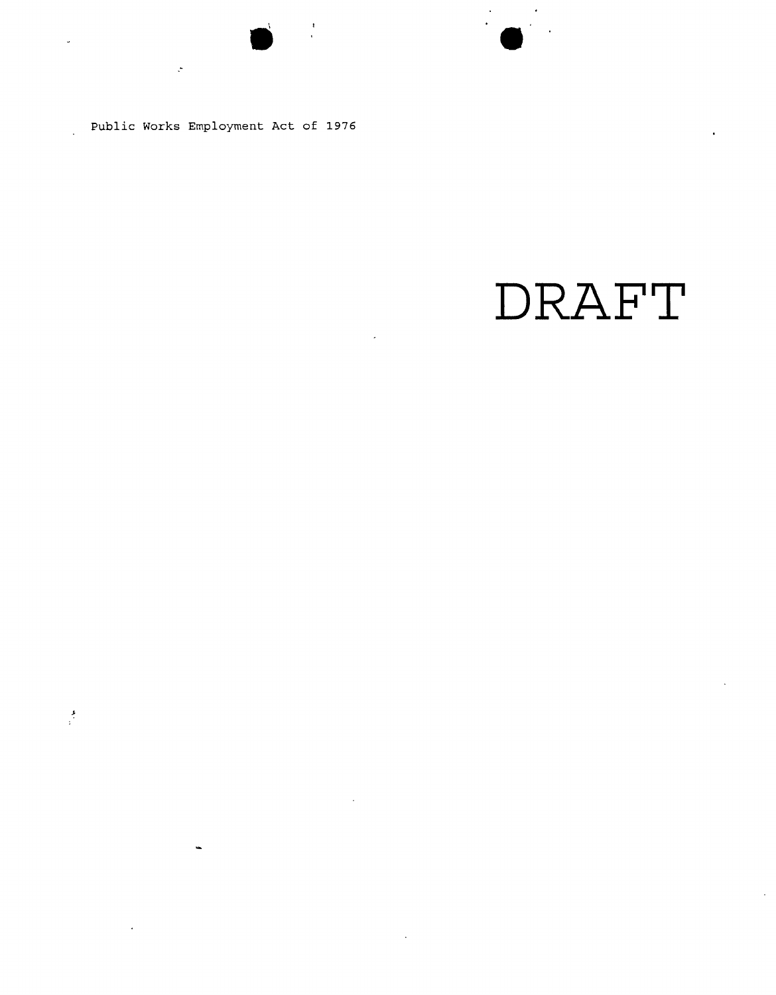Public Works Employment Act of 1976

."

 $\frac{1}{2}$ 

u.

# **DRAFT**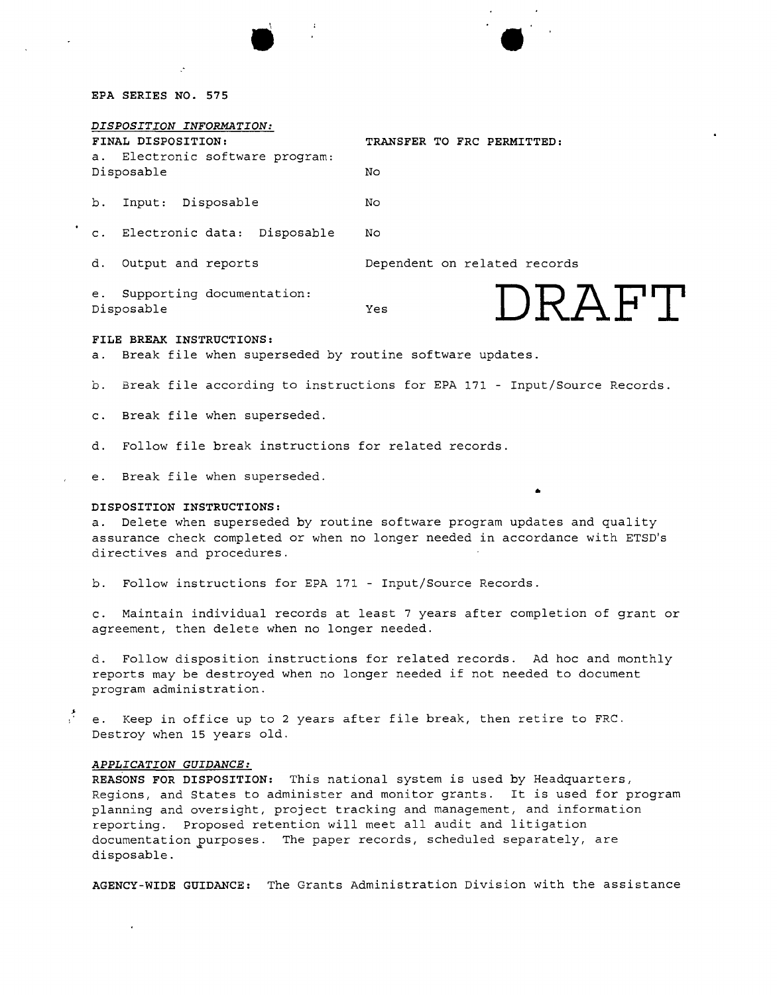## **EPA SERIES NO. 575**

| TRANSFER TO FRC PERMITTED:     |
|--------------------------------|
| No.                            |
| No.                            |
| No                             |
| Dependent on related records   |
| $I$ ) $R$ $A$ $H$ " $I$<br>Yes |
|                                |

### **FILE BREAK INSTRUCTIONS:**

a. Break file when superseded by routine software updates.

b. Break file according to instructions for EPA 171 - Input/Source Records.

c. Break file when superseded.

d. Follow file break instructions for related records.

e. Break file when superseded.

# **DISPOSITION INSTRUCTIONS:**

a. Delete when superseded by routine software program updates and quality assurance check completed or when no longer needed in accordance with ETSD's directives and procedures.

•

b. Follow instructions for EPA 171 - Input/Source Records.

c. Maintain individual records at least 7 years after completion of grant or agreement, then delete when no longer needed.

d. Follow disposition instructions for related records. Ad hoc and monthly reports may be destroyed when no longer needed if not needed to document program administration.

e. Keep in office up to 2 years after file break, then retire to FRC. Destroy when 15 years old.

# *APPLICATION GUIDANCE:*

**REASONS** FOR **DISPOSITION:** This national system is used by Headquarters, Regions, and States to administer and monitor grants. It is used for program planning and oversight, project tracking and management, and information reporting. Proposed retention will meet all audit and litigation documentation purposes. The paper records, scheduled separately, are disposable.

**AGENCY-WIDE GUIDANCE:** The Grants Administration Division with the assistance